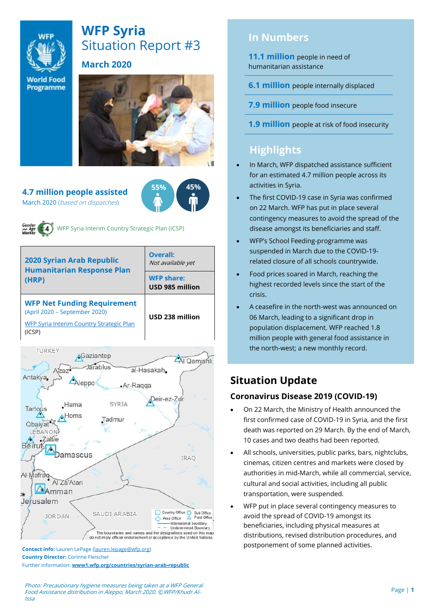

# **WFP Syria** Situation Report #3

## **March 2020**

**World Food** Programme



#### **4.7 million people assisted**  March 2020 (based on dispatches)





WFP Syria Interim Country Strategic Plan (ICSP)

| <b>2020 Syrian Arab Republic</b><br><b>Humanitarian Response Plan</b><br>(HRP)                                            | Overall:<br>Not available yet        |  |
|---------------------------------------------------------------------------------------------------------------------------|--------------------------------------|--|
|                                                                                                                           | <b>WFP share:</b><br>USD 985 million |  |
| <b>WFP Net Funding Requirement</b><br>(April 2020 - September 2020)<br>WFP Syria Interim Country Strategic Plan<br>(ICSP) | USD 238 million                      |  |



**Contact info:** Lauren LePage [\(lauren.lepage@wfp.org\)](mailto:lauren.lepage@wfp.org) **Country Director:** Corinne Fleischer Further information: **[www1.wfp.org/countries/syrian-arab-republic](file:///C:/Users/lauren.lepage/AppData/Local/Microsoft/Windows/INetCache/Content.Outlook/HTRVWXQN/www1.wfp.org/countries/syrian-arab-republic)** **In Numbers**

**11.1 million** people in need of humanitarian assistance

**6.1 million** people internally displaced

**7.9 million** people food insecure

**1.9 million** people at risk of food insecurity

## **Highlights**

- In March, WFP dispatched assistance sufficient for an estimated 4.7 million people across its activities in Syria.
- The first COVID-19 case in Syria was confirmed on 22 March. WFP has put in place several contingency measures to avoid the spread of the disease amongst its beneficiaries and staff.
- WFP's School Feeding-programme was suspended in March due to the COVID-19 related closure of all schools countrywide.
- Food prices soared in March, reaching the highest recorded levels since the start of the crisis.
- A ceasefire in the north-west was announced on 06 March, leading to a significant drop in population displacement. WFP reached 1.8 million people with general food assistance in the north-west; a new monthly record.

## **Situation Update**

## **Coronavirus Disease 2019 (COVID-19)**

- On 22 March, the Ministry of Health announced the first confirmed case of COVID-19 in Syria, and the first death was reported on 29 March. By the end of March, 10 cases and two deaths had been reported.
- All schools, universities, public parks, bars, nightclubs, cinemas, citizen centres and markets were closed by authorities in mid-March, while all commercial, service, cultural and social activities, including all public transportation, were suspended.
- WFP put in place several contingency measures to avoid the spread of COVID-19 amongst its beneficiaries, including physical measures at distributions, revised distribution procedures, and postponement of some planned activities.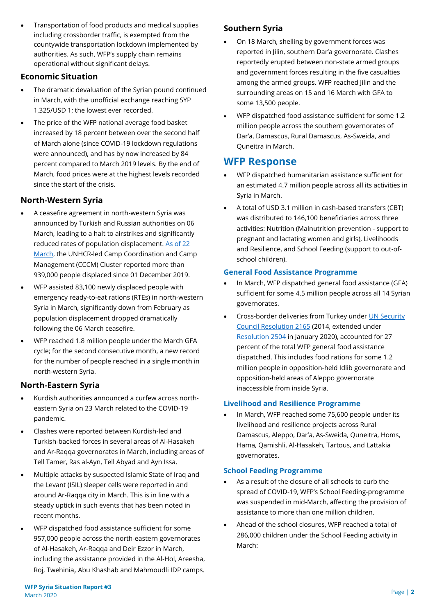• Transportation of food products and medical supplies including crossborder traffic, is exempted from the countywide transportation lockdown implemented by authorities. As such, WFP's supply chain remains operational without significant delays.

### **Economic Situation**

- The dramatic devaluation of the Syrian pound continued in March, with the unofficial exchange reaching SYP 1,325/USD 1; the lowest ever recorded.
- The price of the WFP national average food basket increased by 18 percent between over the second half of March alone (since COVID-19 lockdown regulations were announced), and has by now increased by 84 percent compared to March 2019 levels. By the end of March, food prices were at the highest levels recorded since the start of the crisis.

## **North-Western Syria**

- A ceasefire agreement in north-western Syria was announced by Turkish and Russian authorities on 06 March, leading to a halt to airstrikes and significantly reduced rates of population displacement. [As of 22](https://www.humanitarianresponse.info/sites/www.humanitarianresponse.info/files/documents/files/idp_map_22-03-2020.pdf)  [March,](https://www.humanitarianresponse.info/sites/www.humanitarianresponse.info/files/documents/files/idp_map_22-03-2020.pdf) the UNHCR-led Camp Coordination and Camp Management (CCCM) Cluster reported more than 939,000 people displaced since 01 December 2019.
- WFP assisted 83,100 newly displaced people with emergency ready-to-eat rations (RTEs) in north-western Syria in March, significantly down from February as population displacement dropped dramatically following the 06 March ceasefire.
- WFP reached 1.8 million people under the March GFA cycle; for the second consecutive month, a new record for the number of people reached in a single month in north-western Syria.

### **North-Eastern Syria**

- Kurdish authorities announced a curfew across northeastern Syria on 23 March related to the COVID-19 pandemic.
- Clashes were reported between Kurdish-led and Turkish-backed forces in several areas of Al-Hasakeh and Ar-Raqqa governorates in March, including areas of Tell Tamer, Ras al-Ayn, Tell Abyad and Ayn Issa.
- Multiple attacks by suspected Islamic State of Iraq and the Levant (ISIL) sleeper cells were reported in and around Ar-Raqqa city in March. This is in line with a steady uptick in such events that has been noted in recent months.
- WFP dispatched food assistance sufficient for some 957,000 people across the north-eastern governorates of Al-Hasakeh, Ar-Raqqa and Deir Ezzor in March, including the assistance provided in the Al-Hol, Areesha, Roj, Twehinia, Abu Khashab and Mahmoudli IDP camps.

## **Southern Syria**

- On 18 March, shelling by government forces was reported in Jilin, southern Dar'a governorate. Clashes reportedly erupted between non-state armed groups and government forces resulting in the five casualties among the armed groups. WFP reached Jilin and the surrounding areas on 15 and 16 March with GFA to some 13,500 people.
- WFP dispatched food assistance sufficient for some 1.2 million people across the southern governorates of Dar'a, Damascus, Rural Damascus, As-Sweida, and Quneitra in March.

## **WFP Response**

- WFP dispatched humanitarian assistance sufficient for an estimated 4.7 million people across all its activities in Syria in March.
- A total of USD 3.1 million in cash-based transfers (CBT) was distributed to 146,100 beneficiaries across three activities: Nutrition (Malnutrition prevention - support to pregnant and lactating women and girls), Livelihoods and Resilience, and School Feeding (support to out-ofschool children).

#### **General Food Assistance Programme**

- In March, WFP dispatched general food assistance (GFA) sufficient for some 4.5 million people across all 14 Syrian governorates.
- Cross-border deliveries from Turkey under [UN Security](https://undocs.org/S/RES/2165(2014))  [Council Resolution 2165](https://undocs.org/S/RES/2165(2014)) (2014, extended under [Resolution 2504](https://undocs.org/S/RES/2504(2020)) in January 2020), accounted for 27 percent of the total WFP general food assistance dispatched. This includes food rations for some 1.2 million people in opposition-held Idlib governorate and opposition-held areas of Aleppo governorate inaccessible from inside Syria.

#### **Livelihood and Resilience Programme**

In March, WFP reached some 75,600 people under its livelihood and resilience projects across Rural Damascus, Aleppo, Dar'a, As-Sweida, Quneitra, Homs, Hama, Qamishli, Al-Hasakeh, Tartous, and Lattakia governorates.

#### **School Feeding Programme**

- As a result of the closure of all schools to curb the spread of COVID-19, WFP's School Feeding-programme was suspended in mid-March, affecting the provision of assistance to more than one million children.
- Ahead of the school closures, WFP reached a total of 286,000 children under the School Feeding activity in March: